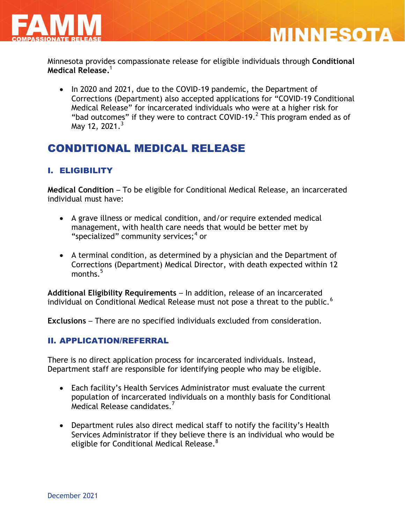



Minnesota provides compassionate release for eligible individuals through **Conditional Medical Release.** 1

• In 2020 and 2021, due to the COVID-19 pandemic, the Department of Corrections (Department) also accepted applications for "COVID-19 Conditional Medical Release" for incarcerated individuals who were at a higher risk for "bad outcomes" if they were to contract COVID-19. $^2$  This program ended as of May 12, 2021.<sup>3</sup>

# CONDITIONAL MEDICAL RELEASE

## I. ELIGIBILITY

**Medical Condition** – To be eligible for Conditional Medical Release, an incarcerated individual must have:

- A grave illness or medical condition, and/or require extended medical management, with health care needs that would be better met by "specialized" community services;<sup>4</sup> or
- A terminal condition, as determined by a physician and the Department of Corrections (Department) Medical Director, with death expected within 12 months.<sup>5</sup>

**Additional Eligibility Requirements** – In addition, release of an incarcerated individual on Conditional Medical Release must not pose a threat to the public.<sup>6</sup>

**Exclusions** – There are no specified individuals excluded from consideration.

## II. APPLICATION/REFERRAL

There is no direct application process for incarcerated individuals. Instead, Department staff are responsible for identifying people who may be eligible.

- Each facility's Health Services Administrator must evaluate the current population of incarcerated individuals on a monthly basis for Conditional Medical Release candidates.<sup>7</sup>
- Department rules also direct medical staff to notify the facility's Health Services Administrator if they believe there is an individual who would be eligible for Conditional Medical Release.<sup>8</sup>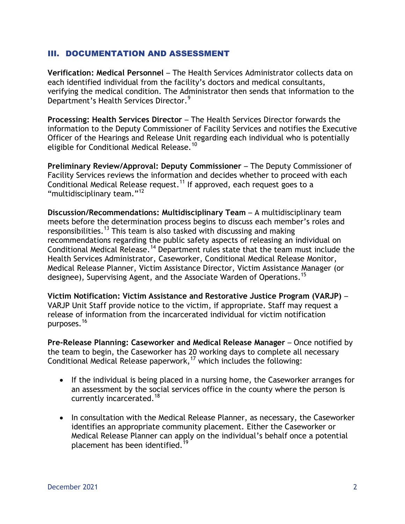### III. DOCUMENTATION AND ASSESSMENT

**Verification: Medical Personnel** – The Health Services Administrator collects data on each identified individual from the facility's doctors and medical consultants, verifying the medical condition. The Administrator then sends that information to the Department's Health Services Director.<sup>9</sup>

**Processing: Health Services Director** – The Health Services Director forwards the information to the Deputy Commissioner of Facility Services and notifies the Executive Officer of the Hearings and Release Unit regarding each individual who is potentially eligible for Conditional Medical Release.<sup>10</sup>

**Preliminary Review/Approval: Deputy Commissioner** – The Deputy Commissioner of Facility Services reviews the information and decides whether to proceed with each Conditional Medical Release request.<sup>11</sup> If approved, each request goes to a "multidisciplinary team."<sup>12</sup>

**Discussion/Recommendations: Multidisciplinary Team** – A multidisciplinary team meets before the determination process begins to discuss each member's roles and responsibilities.<sup>13</sup> This team is also tasked with discussing and making recommendations regarding the public safety aspects of releasing an individual on Conditional Medical Release.<sup>14</sup> Department rules state that the team must include the Health Services Administrator, Caseworker, Conditional Medical Release Monitor, Medical Release Planner, Victim Assistance Director, Victim Assistance Manager (or designee), Supervising Agent, and the Associate Warden of Operations.<sup>15</sup>

**Victim Notification: Victim Assistance and Restorative Justice Program (VARJP)** – VARJP Unit Staff provide notice to the victim, if appropriate. Staff may request a release of information from the incarcerated individual for victim notification purposes.<sup>16</sup>

**Pre-Release Planning: Caseworker and Medical Release Manager** – Once notified by the team to begin, the Caseworker has 20 working days to complete all necessary Conditional Medical Release paperwork,<sup>17</sup> which includes the following:

- If the individual is being placed in a nursing home, the Caseworker arranges for an assessment by the social services office in the county where the person is currently incarcerated.<sup>18</sup>
- In consultation with the Medical Release Planner, as necessary, the Caseworker identifies an appropriate community placement. Either the Caseworker or Medical Release Planner can apply on the individual's behalf once a potential placement has been identified.<sup>19</sup>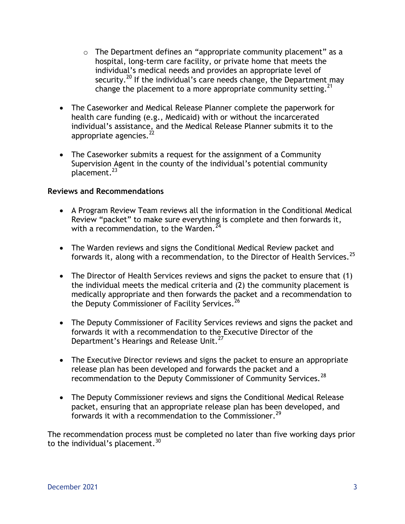- $\circ$  The Department defines an "appropriate community placement" as a hospital, long-term care facility, or private home that meets the individual's medical needs and provides an appropriate level of security.<sup>20</sup> If the individual's care needs change, the Department may change the placement to a more appropriate community setting.  $21$
- The Caseworker and Medical Release Planner complete the paperwork for health care funding (e.g., Medicaid) with or without the incarcerated individual's assistance, and the Medical Release Planner submits it to the appropriate agencies. $^{22}$
- The Caseworker submits a request for the assignment of a Community Supervision Agent in the county of the individual's potential community  $p$ lacement.<sup>23</sup>

## **Reviews and Recommendations**

- A Program Review Team reviews all the information in the Conditional Medical Review "packet" to make sure everything is complete and then forwards it, with a recommendation, to the Warden. $^{24}$
- The Warden reviews and signs the Conditional Medical Review packet and forwards it, along with a recommendation, to the Director of Health Services.<sup>25</sup>
- The Director of Health Services reviews and signs the packet to ensure that (1) the individual meets the medical criteria and (2) the community placement is medically appropriate and then forwards the packet and a recommendation to the Deputy Commissioner of Facility Services.<sup>26</sup>
- The Deputy Commissioner of Facility Services reviews and signs the packet and forwards it with a recommendation to the Executive Director of the Department's Hearings and Release Unit.<sup>27</sup>
- The Executive Director reviews and signs the packet to ensure an appropriate release plan has been developed and forwards the packet and a recommendation to the Deputy Commissioner of Community Services.<sup>28</sup>
- The Deputy Commissioner reviews and signs the Conditional Medical Release packet, ensuring that an appropriate release plan has been developed, and forwards it with a recommendation to the Commissioner.<sup>29</sup>

The recommendation process must be completed no later than five working days prior to the individual's placement. $30<sup>30</sup>$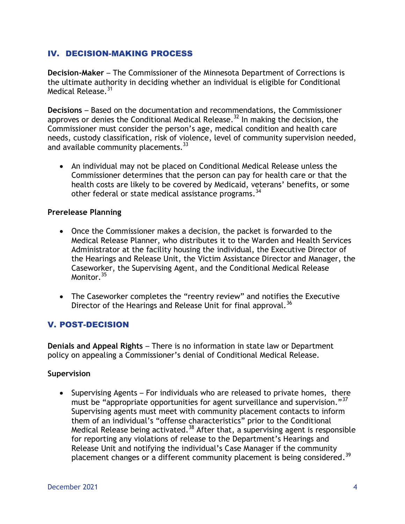## IV. DECISION-MAKING PROCESS

**Decision-Maker** – The Commissioner of the Minnesota Department of Corrections is the ultimate authority in deciding whether an individual is eligible for Conditional Medical Release.<sup>31</sup>

**Decisions** – Based on the documentation and recommendations, the Commissioner approves or denies the Conditional Medical Release.<sup>32</sup> In making the decision, the Commissioner must consider the person's age, medical condition and health care needs, custody classification, risk of violence, level of community supervision needed, and available community placements.  $33$ 

 An individual may not be placed on Conditional Medical Release unless the Commissioner determines that the person can pay for health care or that the health costs are likely to be covered by Medicaid, veterans' benefits, or some other federal or state medical assistance programs.<sup>34</sup>

#### **Prerelease Planning**

- Once the Commissioner makes a decision, the packet is forwarded to the Medical Release Planner, who distributes it to the Warden and Health Services Administrator at the facility housing the individual, the Executive Director of the Hearings and Release Unit, the Victim Assistance Director and Manager, the Caseworker, the Supervising Agent, and the Conditional Medical Release Monitor.<sup>35</sup>
- The Caseworker completes the "reentry review" and notifies the Executive Director of the Hearings and Release Unit for final approval.<sup>36</sup>

## V. POST-DECISION

**Denials and Appeal Rights** – There is no information in state law or Department policy on appealing a Commissioner's denial of Conditional Medical Release.

#### **Supervision**

• Supervising Agents – For individuals who are released to private homes, there must be "appropriate opportunities for agent surveillance and supervision."<sup>37</sup> Supervising agents must meet with community placement contacts to inform them of an individual's "offense characteristics" prior to the Conditional Medical Release being activated.<sup>38</sup> After that, a supervising agent is responsible for reporting any violations of release to the Department's Hearings and Release Unit and notifying the individual's Case Manager if the community placement changes or a different community placement is being considered.<sup>39</sup>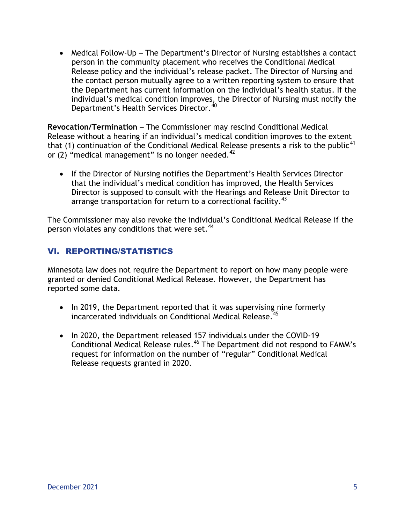• Medical Follow-Up – The Department's Director of Nursing establishes a contact person in the community placement who receives the Conditional Medical Release policy and the individual's release packet. The Director of Nursing and the contact person mutually agree to a written reporting system to ensure that the Department has current information on the individual's health status. If the individual's medical condition improves, the Director of Nursing must notify the Department's Health Services Director.<sup>40</sup>

**Revocation/Termination** – The Commissioner may rescind Conditional Medical Release without a hearing if an individual's medical condition improves to the extent that (1) continuation of the Conditional Medical Release presents a risk to the public<sup>41</sup> or (2) "medical management" is no longer needed.  $42^{\circ}$ 

• If the Director of Nursing notifies the Department's Health Services Director that the individual's medical condition has improved, the Health Services Director is supposed to consult with the Hearings and Release Unit Director to arrange transportation for return to a correctional facility.  $43$ 

The Commissioner may also revoke the individual's Conditional Medical Release if the person violates any conditions that were set.<sup>44</sup>

## VI. REPORTING/STATISTICS

Minnesota law does not require the Department to report on how many people were granted or denied Conditional Medical Release. However, the Department has reported some data.

- In 2019, the Department reported that it was supervising nine formerly incarcerated individuals on Conditional Medical Release.<sup>45</sup>
- In 2020, the Department released 157 individuals under the COVID-19 Conditional Medical Release rules. <sup>46</sup> The Department did not respond to FAMM's request for information on the number of "regular" Conditional Medical Release requests granted in 2020.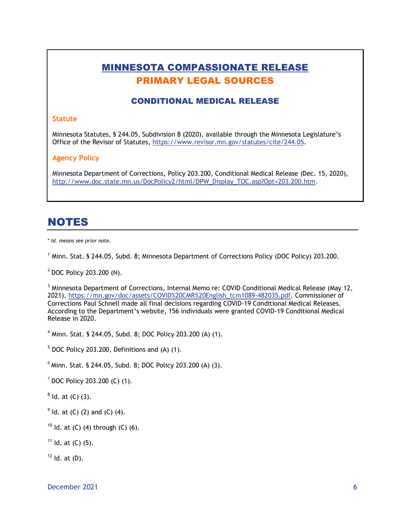## MINNESOTA COMPASSIONATE RELEASE PRIMARY LEGAL SOURCES

## CONDITIONAL MEDICAL RELEASE

#### **Statute**

Minnesota Statutes, § 244.05, Subdivision 8 (2020), available through the Minnesota Legislature's Office of the Revisor of Statutes, [https://www.revisor.mn.gov/statutes/cite/244.05.](https://www.revisor.mn.gov/statutes/cite/244.05)

#### **Agency Policy**

Minnesota Department of Corrections, Policy 203.200, Conditional Medical Release (Dec. 15, 2020), [http://www.doc.state.mn.us/DocPolicy2/html/DPW\\_Display\\_TOC.asp?Opt=203.200.htm.](http://www.doc.state.mn.us/DocPolicy2/html/DPW_Display_TOC.asp?Opt=203.200.htm)

# NOTES

\* *Id. means see prior note.*

<sup>1</sup> Minn. Stat. § 244.05, Subd. 8; Minnesota Department of Corrections Policy (DOC Policy) 203.200.

<sup>2</sup> DOC Policy 203.200 (N).

<sup>3</sup> Minnesota Department of Corrections, Internal Memo re: COVID Conditional Medical Release (May 12, 2021), [https://mn.gov/doc/assets/COVID%20CMR%20English\\_tcm1089-482035.pdf.](https://mn.gov/doc/assets/COVID%20CMR%20English_tcm1089-482035.pdf) Commissioner of Corrections Paul Schnell made all final decisions regarding COVID-19 Conditional Medical Releases. According to the Department's website, 156 individuals were granted COVID-19 Conditional Medical Release in 2020.

<sup>4</sup> Minn. Stat. § 244.05, Subd. 8; DOC Policy 203.200 (A) (1).

 $5$  DOC Policy 203.200, Definitions and (A) (1).

<sup>6</sup> Minn. Stat. § 244.05, Subd. 8; DOC Policy 203.200 (A) (3).

 $7$  DOC Policy 203.200 (C) (1).

 $8$  ld. at (C) (3).

 $9$  ld. at (C) (2) and (C) (4).

 $10$  Id. at (C) (4) through (C) (6).

 $11$  Id. at (C) (5).

 $12$  Id. at  $(D)$ .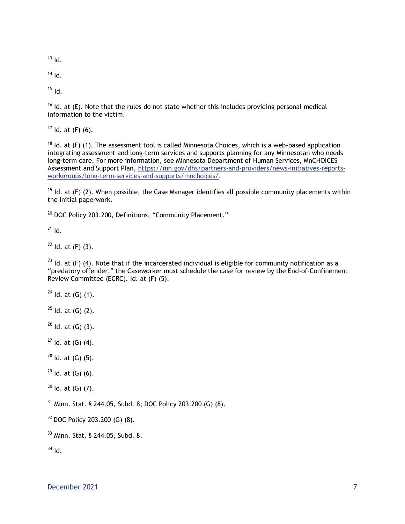Id.

Id.

Id.

 Id. at (E). Note that the rules do not state whether this includes providing personal medical information to the victim.

Id. at (F) (6).

 Id. at (F) (1). The assessment tool is called Minnesota Choices, which is a web-based application integrating assessment and long-term services and supports planning for any Minnesotan who needs long-term care. For more information, see Minnesota Department of Human Services, MnCHOICES Assessment and Support Plan, [https://mn.gov/dhs/partners-and-providers/news-initiatives-reports](https://mn.gov/dhs/partners-and-providers/news-initiatives-reports-workgroups/long-term-services-and-supports/mnchoices/)[workgroups/long-term-services-and-supports/mnchoices/.](https://mn.gov/dhs/partners-and-providers/news-initiatives-reports-workgroups/long-term-services-and-supports/mnchoices/)

<sup>19</sup> Id. at (F) (2). When possible, the Case Manager identifies all possible community placements within the initial paperwork.

<sup>20</sup> DOC Policy 203.200, Definitions, "Community Placement."

Id.

Id. at (F) (3).

<sup>23</sup> Id. at (F) (4). Note that if the incarcerated individual is eligible for community notification as a "predatory offender," the Caseworker must schedule the case for review by the End-of-Confinement Review Committee (ECRC). Id. at (F) (5).

Id. at (G) (1).

Id. at (G) (2).

Id. at (G) (3).

Id. at (G) (4).

- Id. at (G) (5).
- Id. at (G) (6).
- Id. at (G) (7).

Minn. Stat. § 244.05, Subd. 8; DOC Policy 203.200 (G) (8).

- DOC Policy 203.200 (G) (8).
- Minn. Stat. § 244.05, Subd. 8.

Id.